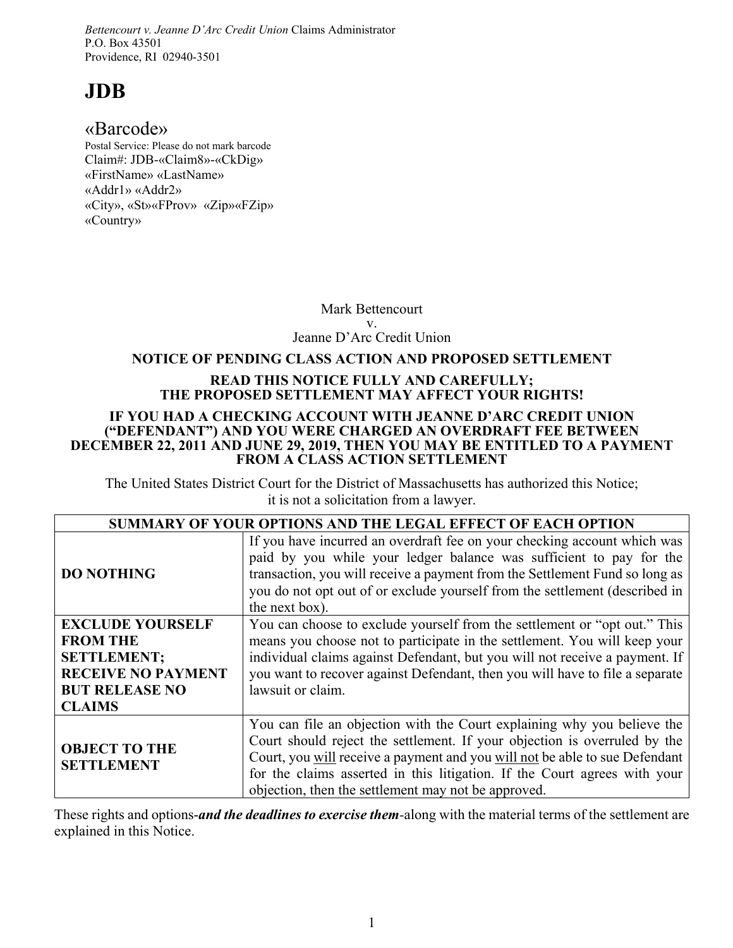*Bettencourt v. Jeanne D'Arc Credit Union* Claims Administrator P.O. Box 43501 Providence, RI 02940-3501

# **JDB**

# «Barcode»

Postal Service: Please do not mark barcode Claim#: JDB-«Claim8»-«CkDig» «FirstName» «LastName» «Addr1» «Addr2» «City», «St»«FProv» «Zip»«FZip» «Country»

> Mark Bettencourt v. Jeanne D'Arc Credit Union

# **NOTICE OF PENDING CLASS ACTION AND PROPOSED SETTLEMENT**

### **READ THIS NOTICE FULLY AND CAREFULLY; THE PROPOSED SETTLEMENT MAY AFFECT YOUR RIGHTS!**

### **IF YOU HAD A CHECKING ACCOUNT WITH JEANNE D'ARC CREDIT UNION ("DEFENDANT") AND YOU WERE CHARGED AN OVERDRAFT FEE BETWEEN DECEMBER 22, 2011 AND JUNE 29, 2019, THEN YOU MAY BE ENTITLED TO A PAYMENT FROM A CLASS ACTION SETTLEMENT**

The United States District Court for the District of Massachusetts has authorized this Notice; it is not a solicitation from a lawyer.

| <b>SUMMARY OF YOUR OPTIONS AND THE LEGAL EFFECT OF EACH OPTION</b>                                                                      |                                                                                                                                                                                                                                                                                                                                                                         |
|-----------------------------------------------------------------------------------------------------------------------------------------|-------------------------------------------------------------------------------------------------------------------------------------------------------------------------------------------------------------------------------------------------------------------------------------------------------------------------------------------------------------------------|
| <b>DO NOTHING</b>                                                                                                                       | If you have incurred an overdraft fee on your checking account which was<br>paid by you while your ledger balance was sufficient to pay for the<br>transaction, you will receive a payment from the Settlement Fund so long as<br>you do not opt out of or exclude yourself from the settlement (described in<br>the next box).                                         |
| <b>EXCLUDE YOURSELF</b><br><b>FROM THE</b><br><b>SETTLEMENT;</b><br><b>RECEIVE NO PAYMENT</b><br><b>BUT RELEASE NO</b><br><b>CLAIMS</b> | You can choose to exclude yourself from the settlement or "opt out." This<br>means you choose not to participate in the settlement. You will keep your<br>individual claims against Defendant, but you will not receive a payment. If<br>you want to recover against Defendant, then you will have to file a separate<br>lawsuit or claim.                              |
| <b>OBJECT TO THE</b><br><b>SETTLEMENT</b>                                                                                               | You can file an objection with the Court explaining why you believe the<br>Court should reject the settlement. If your objection is overruled by the<br>Court, you will receive a payment and you will not be able to sue Defendant<br>for the claims asserted in this litigation. If the Court agrees with your<br>objection, then the settlement may not be approved. |

These rights and options-*and the deadlines to exercise them-*along with the material terms of the settlement are explained in this Notice.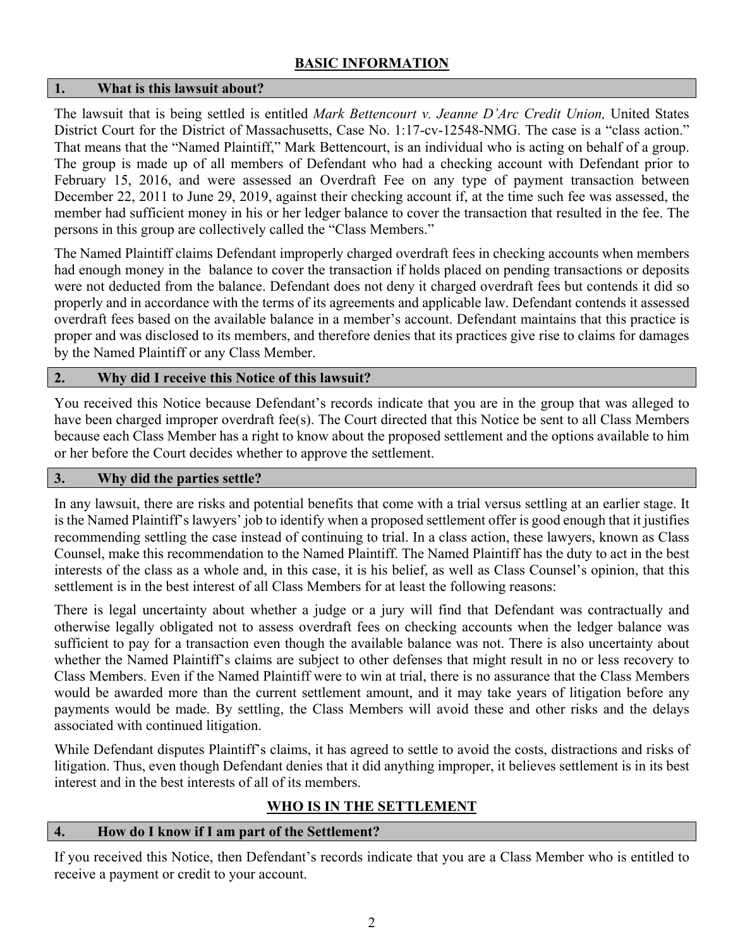# **BASIC INFORMATION**

### **1. What is this lawsuit about?**

The lawsuit that is being settled is entitled *Mark Bettencourt v. Jeanne D'Arc Credit Union,* United States District Court for the District of Massachusetts, Case No. 1:17-cv-12548-NMG. The case is a "class action." That means that the "Named Plaintiff," Mark Bettencourt, is an individual who is acting on behalf of a group. The group is made up of all members of Defendant who had a checking account with Defendant prior to February 15, 2016, and were assessed an Overdraft Fee on any type of payment transaction between December 22, 2011 to June 29, 2019, against their checking account if, at the time such fee was assessed, the member had sufficient money in his or her ledger balance to cover the transaction that resulted in the fee. The persons in this group are collectively called the "Class Members."

The Named Plaintiff claims Defendant improperly charged overdraft fees in checking accounts when members had enough money in the balance to cover the transaction if holds placed on pending transactions or deposits were not deducted from the balance. Defendant does not deny it charged overdraft fees but contends it did so properly and in accordance with the terms of its agreements and applicable law. Defendant contends it assessed overdraft fees based on the available balance in a member's account. Defendant maintains that this practice is proper and was disclosed to its members, and therefore denies that its practices give rise to claims for damages by the Named Plaintiff or any Class Member.

# **2. Why did I receive this Notice of this lawsuit?**

You received this Notice because Defendant's records indicate that you are in the group that was alleged to have been charged improper overdraft fee(s). The Court directed that this Notice be sent to all Class Members because each Class Member has a right to know about the proposed settlement and the options available to him or her before the Court decides whether to approve the settlement.

### **3. Why did the parties settle?**

In any lawsuit, there are risks and potential benefits that come with a trial versus settling at an earlier stage. It is the Named Plaintiff's lawyers' job to identify when a proposed settlement offer is good enough that it justifies recommending settling the case instead of continuing to trial. In a class action, these lawyers, known as Class Counsel, make this recommendation to the Named Plaintiff. The Named Plaintiff has the duty to act in the best interests of the class as a whole and, in this case, it is his belief, as well as Class Counsel's opinion, that this settlement is in the best interest of all Class Members for at least the following reasons:

There is legal uncertainty about whether a judge or a jury will find that Defendant was contractually and otherwise legally obligated not to assess overdraft fees on checking accounts when the ledger balance was sufficient to pay for a transaction even though the available balance was not. There is also uncertainty about whether the Named Plaintiff's claims are subject to other defenses that might result in no or less recovery to Class Members. Even if the Named Plaintiff were to win at trial, there is no assurance that the Class Members would be awarded more than the current settlement amount, and it may take years of litigation before any payments would be made. By settling, the Class Members will avoid these and other risks and the delays associated with continued litigation.

While Defendant disputes Plaintiff's claims, it has agreed to settle to avoid the costs, distractions and risks of litigation. Thus, even though Defendant denies that it did anything improper, it believes settlement is in its best interest and in the best interests of all of its members.

# **WHO IS IN THE SETTLEMENT**

# **4. How do I know if I am part of the Settlement?**

If you received this Notice, then Defendant's records indicate that you are a Class Member who is entitled to receive a payment or credit to your account.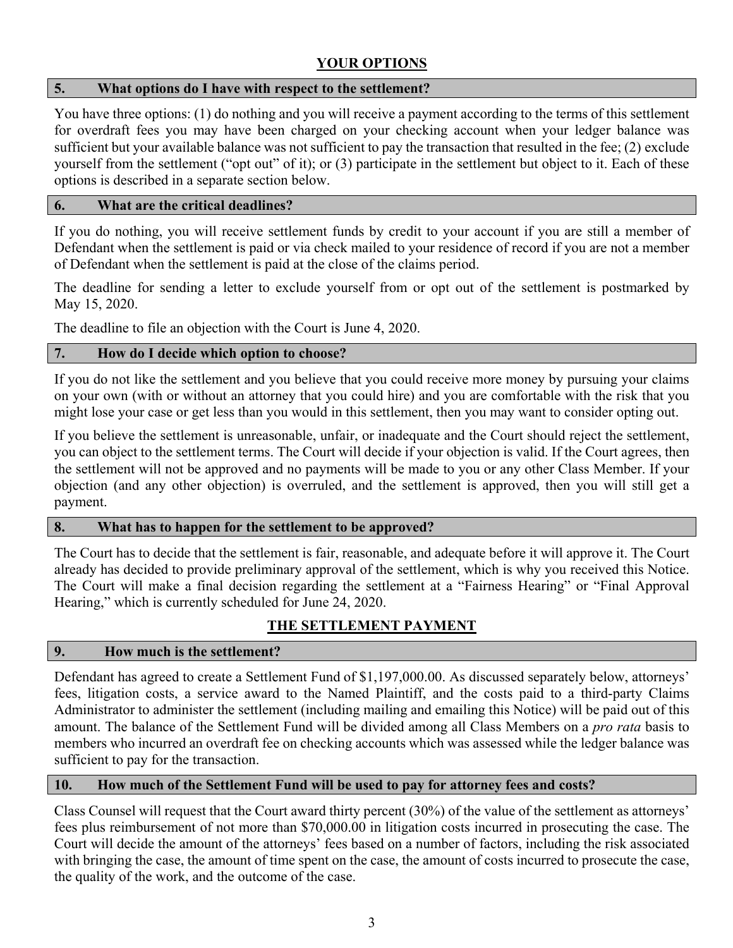# **YOUR OPTIONS**

### **5. What options do I have with respect to the settlement?**

You have three options: (1) do nothing and you will receive a payment according to the terms of this settlement for overdraft fees you may have been charged on your checking account when your ledger balance was sufficient but your available balance was not sufficient to pay the transaction that resulted in the fee; (2) exclude yourself from the settlement ("opt out" of it); or (3) participate in the settlement but object to it. Each of these options is described in a separate section below.

### **6. What are the critical deadlines?**

If you do nothing, you will receive settlement funds by credit to your account if you are still a member of Defendant when the settlement is paid or via check mailed to your residence of record if you are not a member of Defendant when the settlement is paid at the close of the claims period.

The deadline for sending a letter to exclude yourself from or opt out of the settlement is postmarked by May 15, 2020.

The deadline to file an objection with the Court is June 4, 2020.

### **7. How do I decide which option to choose?**

If you do not like the settlement and you believe that you could receive more money by pursuing your claims on your own (with or without an attorney that you could hire) and you are comfortable with the risk that you might lose your case or get less than you would in this settlement, then you may want to consider opting out.

If you believe the settlement is unreasonable, unfair, or inadequate and the Court should reject the settlement, you can object to the settlement terms. The Court will decide if your objection is valid. If the Court agrees, then the settlement will not be approved and no payments will be made to you or any other Class Member. If your objection (and any other objection) is overruled, and the settlement is approved, then you will still get a payment.

# **8. What has to happen for the settlement to be approved?**

The Court has to decide that the settlement is fair, reasonable, and adequate before it will approve it. The Court already has decided to provide preliminary approval of the settlement, which is why you received this Notice. The Court will make a final decision regarding the settlement at a "Fairness Hearing" or "Final Approval Hearing," which is currently scheduled for June 24, 2020.

# **THE SETTLEMENT PAYMENT**

# **9. How much is the settlement?**

Defendant has agreed to create a Settlement Fund of \$1,197,000.00. As discussed separately below, attorneys' fees, litigation costs, a service award to the Named Plaintiff, and the costs paid to a third-party Claims Administrator to administer the settlement (including mailing and emailing this Notice) will be paid out of this amount. The balance of the Settlement Fund will be divided among all Class Members on a *pro rata* basis to members who incurred an overdraft fee on checking accounts which was assessed while the ledger balance was sufficient to pay for the transaction.

### **10. How much of the Settlement Fund will be used to pay for attorney fees and costs?**

Class Counsel will request that the Court award thirty percent (30%) of the value of the settlement as attorneys' fees plus reimbursement of not more than \$70,000.00 in litigation costs incurred in prosecuting the case. The Court will decide the amount of the attorneys' fees based on a number of factors, including the risk associated with bringing the case, the amount of time spent on the case, the amount of costs incurred to prosecute the case, the quality of the work, and the outcome of the case.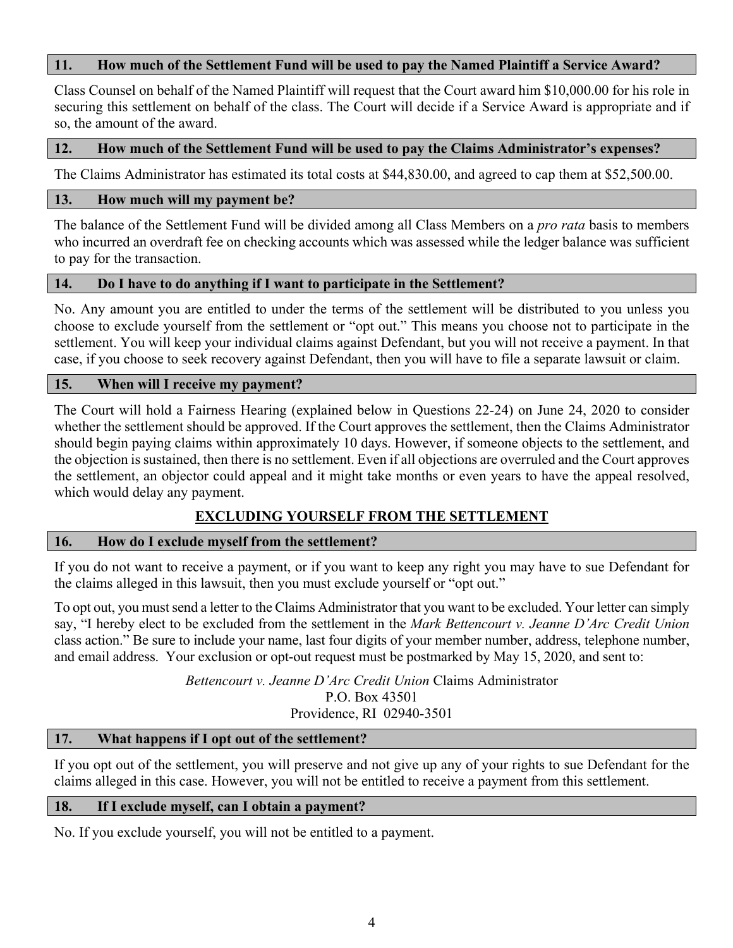### **11. How much of the Settlement Fund will be used to pay the Named Plaintiff a Service Award?**

Class Counsel on behalf of the Named Plaintiff will request that the Court award him \$10,000.00 for his role in securing this settlement on behalf of the class. The Court will decide if a Service Award is appropriate and if so, the amount of the award.

### **12. How much of the Settlement Fund will be used to pay the Claims Administrator's expenses?**

The Claims Administrator has estimated its total costs at \$44,830.00, and agreed to cap them at \$52,500.00.

### **13. How much will my payment be?**

The balance of the Settlement Fund will be divided among all Class Members on a *pro rata* basis to members who incurred an overdraft fee on checking accounts which was assessed while the ledger balance was sufficient to pay for the transaction.

### **14. Do I have to do anything if I want to participate in the Settlement?**

No. Any amount you are entitled to under the terms of the settlement will be distributed to you unless you choose to exclude yourself from the settlement or "opt out." This means you choose not to participate in the settlement. You will keep your individual claims against Defendant, but you will not receive a payment. In that case, if you choose to seek recovery against Defendant, then you will have to file a separate lawsuit or claim.

### **15. When will I receive my payment?**

The Court will hold a Fairness Hearing (explained below in Questions 22-24) on June 24, 2020 to consider whether the settlement should be approved. If the Court approves the settlement, then the Claims Administrator should begin paying claims within approximately 10 days. However, if someone objects to the settlement, and the objection is sustained, then there is no settlement. Even if all objections are overruled and the Court approves the settlement, an objector could appeal and it might take months or even years to have the appeal resolved, which would delay any payment.

# **EXCLUDING YOURSELF FROM THE SETTLEMENT**

### **16. How do I exclude myself from the settlement?**

If you do not want to receive a payment, or if you want to keep any right you may have to sue Defendant for the claims alleged in this lawsuit, then you must exclude yourself or "opt out."

To opt out, you must send a letter to the Claims Administrator that you want to be excluded. Your letter can simply say, "I hereby elect to be excluded from the settlement in the *Mark Bettencourt v. Jeanne D'Arc Credit Union* class action." Be sure to include your name, last four digits of your member number, address, telephone number, and email address. Your exclusion or opt-out request must be postmarked by May 15, 2020, and sent to:

> *Bettencourt v. Jeanne D'Arc Credit Union* Claims Administrator P.O. Box 43501 Providence, RI 02940-3501

# **17. What happens if I opt out of the settlement?**

If you opt out of the settlement, you will preserve and not give up any of your rights to sue Defendant for the claims alleged in this case. However, you will not be entitled to receive a payment from this settlement.

### **18. If I exclude myself, can I obtain a payment?**

No. If you exclude yourself, you will not be entitled to a payment.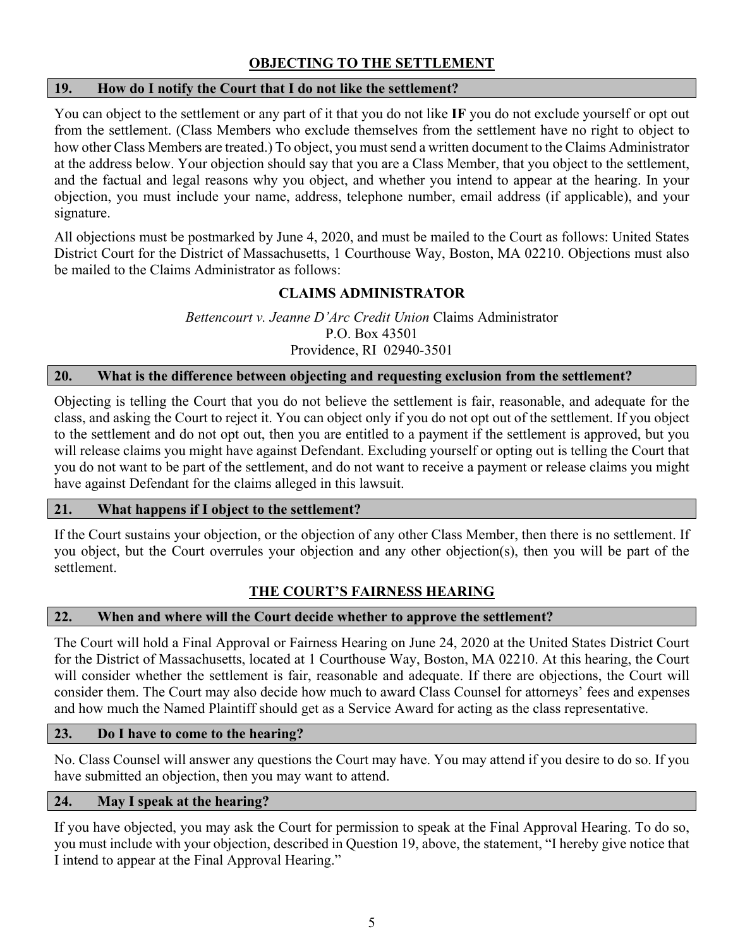# **OBJECTING TO THE SETTLEMENT**

# **19. How do I notify the Court that I do not like the settlement?**

You can object to the settlement or any part of it that you do not like **IF** you do not exclude yourself or opt out from the settlement. (Class Members who exclude themselves from the settlement have no right to object to how other Class Members are treated.) To object, you must send a written document to the Claims Administrator at the address below. Your objection should say that you are a Class Member, that you object to the settlement, and the factual and legal reasons why you object, and whether you intend to appear at the hearing. In your objection, you must include your name, address, telephone number, email address (if applicable), and your signature.

All objections must be postmarked by June 4, 2020, and must be mailed to the Court as follows: United States District Court for the District of Massachusetts, 1 Courthouse Way, Boston, MA 02210. Objections must also be mailed to the Claims Administrator as follows:

# **CLAIMS ADMINISTRATOR**

*Bettencourt v. Jeanne D'Arc Credit Union* Claims Administrator P.O. Box 43501 Providence, RI 02940-3501

### **20. What is the difference between objecting and requesting exclusion from the settlement?**

Objecting is telling the Court that you do not believe the settlement is fair, reasonable, and adequate for the class, and asking the Court to reject it. You can object only if you do not opt out of the settlement. If you object to the settlement and do not opt out, then you are entitled to a payment if the settlement is approved, but you will release claims you might have against Defendant. Excluding yourself or opting out is telling the Court that you do not want to be part of the settlement, and do not want to receive a payment or release claims you might have against Defendant for the claims alleged in this lawsuit.

### **21. What happens if I object to the settlement?**

If the Court sustains your objection, or the objection of any other Class Member, then there is no settlement. If you object, but the Court overrules your objection and any other objection(s), then you will be part of the settlement.

# **THE COURT'S FAIRNESS HEARING**

### **22. When and where will the Court decide whether to approve the settlement?**

The Court will hold a Final Approval or Fairness Hearing on June 24, 2020 at the United States District Court for the District of Massachusetts, located at 1 Courthouse Way, Boston, MA 02210. At this hearing, the Court will consider whether the settlement is fair, reasonable and adequate. If there are objections, the Court will consider them. The Court may also decide how much to award Class Counsel for attorneys' fees and expenses and how much the Named Plaintiff should get as a Service Award for acting as the class representative.

### **23. Do I have to come to the hearing?**

No. Class Counsel will answer any questions the Court may have. You may attend if you desire to do so. If you have submitted an objection, then you may want to attend.

### **24. May I speak at the hearing?**

If you have objected, you may ask the Court for permission to speak at the Final Approval Hearing. To do so, you must include with your objection, described in Question 19, above, the statement, "I hereby give notice that I intend to appear at the Final Approval Hearing."